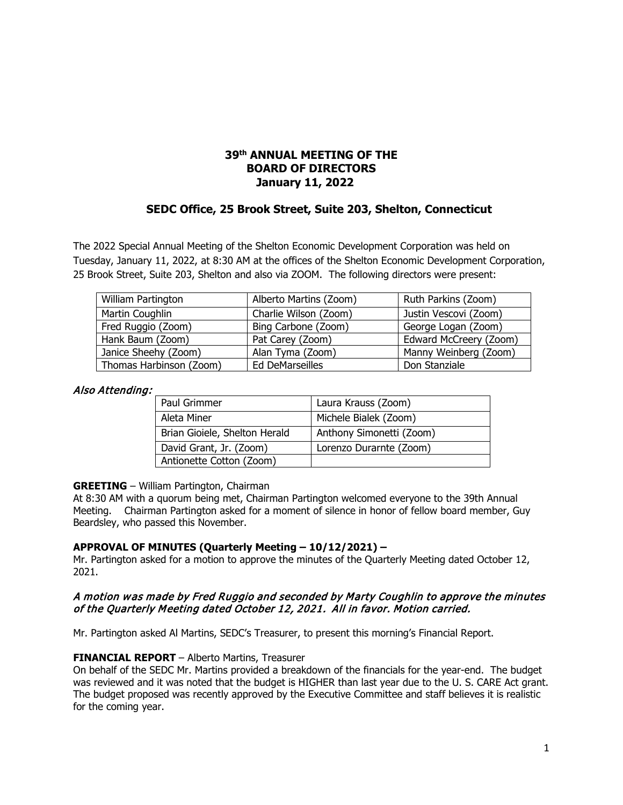# **39th ANNUAL MEETING OF THE BOARD OF DIRECTORS January 11, 2022**

# **SEDC Office, 25 Brook Street, Suite 203, Shelton, Connecticut**

The 2022 Special Annual Meeting of the Shelton Economic Development Corporation was held on Tuesday, January 11, 2022, at 8:30 AM at the offices of the Shelton Economic Development Corporation, 25 Brook Street, Suite 203, Shelton and also via ZOOM. The following directors were present:

| William Partington      | Alberto Martins (Zoom) | Ruth Parkins (Zoom)    |  |
|-------------------------|------------------------|------------------------|--|
| Martin Coughlin         | Charlie Wilson (Zoom)  | Justin Vescovi (Zoom)  |  |
| Fred Ruggio (Zoom)      | Bing Carbone (Zoom)    | George Logan (Zoom)    |  |
| Hank Baum (Zoom)        | Pat Carey (Zoom)       | Edward McCreery (Zoom) |  |
| Janice Sheehy (Zoom)    | Alan Tyma (Zoom)       | Manny Weinberg (Zoom)  |  |
| Thomas Harbinson (Zoom) | Ed DeMarseilles        | Don Stanziale          |  |

#### Also Attending:

| Paul Grimmer                  | Laura Krauss (Zoom)      |
|-------------------------------|--------------------------|
| Aleta Miner                   | Michele Bialek (Zoom)    |
| Brian Gioiele, Shelton Herald | Anthony Simonetti (Zoom) |
| David Grant, Jr. (Zoom)       | Lorenzo Durarnte (Zoom)  |
| Antionette Cotton (Zoom)      |                          |

#### **GREETING** – William Partington, Chairman

At 8:30 AM with a quorum being met, Chairman Partington welcomed everyone to the 39th Annual Meeting. Chairman Partington asked for a moment of silence in honor of fellow board member, Guy Beardsley, who passed this November.

#### **APPROVAL OF MINUTES (Quarterly Meeting – 10/12/2021) –**

Mr. Partington asked for a motion to approve the minutes of the Quarterly Meeting dated October 12, 2021.

### A motion was made by Fred Ruggio and seconded by Marty Coughlin to approve the minutes of the Quarterly Meeting dated October 12, 2021. All in favor. Motion carried.

Mr. Partington asked Al Martins, SEDC's Treasurer, to present this morning's Financial Report.

### **FINANCIAL REPORT** – Alberto Martins, Treasurer

On behalf of the SEDC Mr. Martins provided a breakdown of the financials for the year-end. The budget was reviewed and it was noted that the budget is HIGHER than last year due to the U. S. CARE Act grant. The budget proposed was recently approved by the Executive Committee and staff believes it is realistic for the coming year.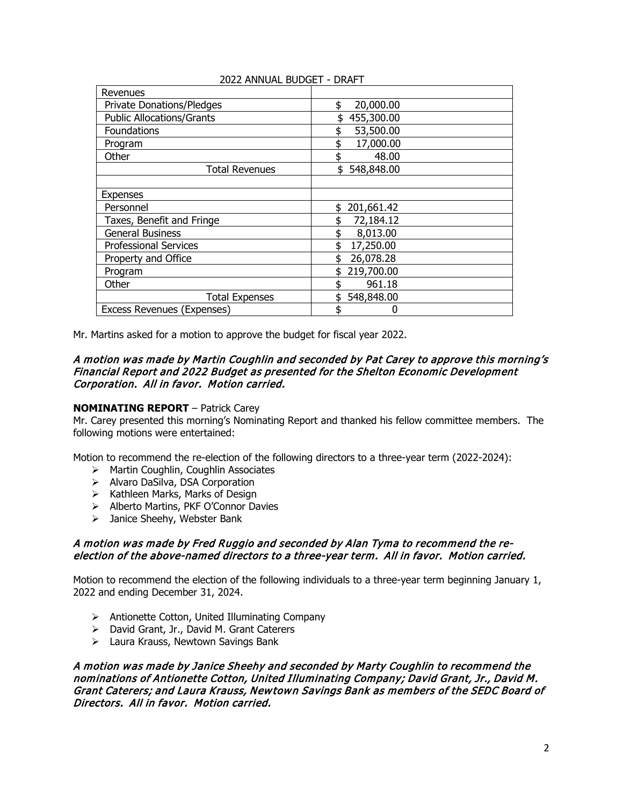| Revenues                         |                  |
|----------------------------------|------------------|
| <b>Private Donations/Pledges</b> | 20,000.00<br>\$  |
| <b>Public Allocations/Grants</b> | 455,300.00       |
| Foundations                      | 53,500.00<br>\$  |
| Program                          | 17,000.00        |
| Other                            | 48.00            |
| Total Revenues                   | 548,848.00<br>\$ |
|                                  |                  |
| <b>Expenses</b>                  |                  |
| Personnel                        | 201,661.42       |
| Taxes, Benefit and Fringe        | 72,184.12        |
| <b>General Business</b>          | 8,013.00<br>\$   |
| <b>Professional Services</b>     | 17,250.00        |
| Property and Office              | 26,078.28        |
| Program                          | 219,700.00<br>\$ |
| Other                            | 961.18           |
| <b>Total Expenses</b>            | 548,848.00<br>\$ |
| Excess Revenues (Expenses)       | N<br>ፍ           |
|                                  |                  |

### 2022 ANNUAL BUDGET - DRAFT

Mr. Martins asked for a motion to approve the budget for fiscal year 2022.

#### A motion was made by Martin Coughlin and seconded by Pat Carey to approve this morning's Financial Report and 2022 Budget as presented for the Shelton Economic Development Corporation. All in favor. Motion carried.

### **NOMINATING REPORT** – Patrick Carey

Mr. Carey presented this morning's Nominating Report and thanked his fellow committee members. The following motions were entertained:

Motion to recommend the re-election of the following directors to a three-year term (2022-2024):

- > Martin Coughlin, Coughlin Associates
- > Alvaro DaSilva, DSA Corporation
- $\triangleright$  Kathleen Marks, Marks of Design
- > Alberto Martins, PKF O'Connor Davies
- > Janice Sheehy, Webster Bank

### A motion was made by Fred Ruggio and seconded by Alan Tyma to recommend the reelection of the above-named directors to a three-year term. All in favor. Motion carried.

Motion to recommend the election of the following individuals to a three-year term beginning January 1, 2022 and ending December 31, 2024.

- Antionette Cotton, United Illuminating Company
- > David Grant, Jr., David M. Grant Caterers
- Laura Krauss, Newtown Savings Bank

A motion was made by Janice Sheehy and seconded by Marty Coughlin to recommend the nominations of Antionette Cotton, United Illuminating Company; David Grant, Jr., David M. Grant Caterers; and Laura Krauss, Newtown Savings Bank as members of the SEDC Board of Directors. All in favor. Motion carried.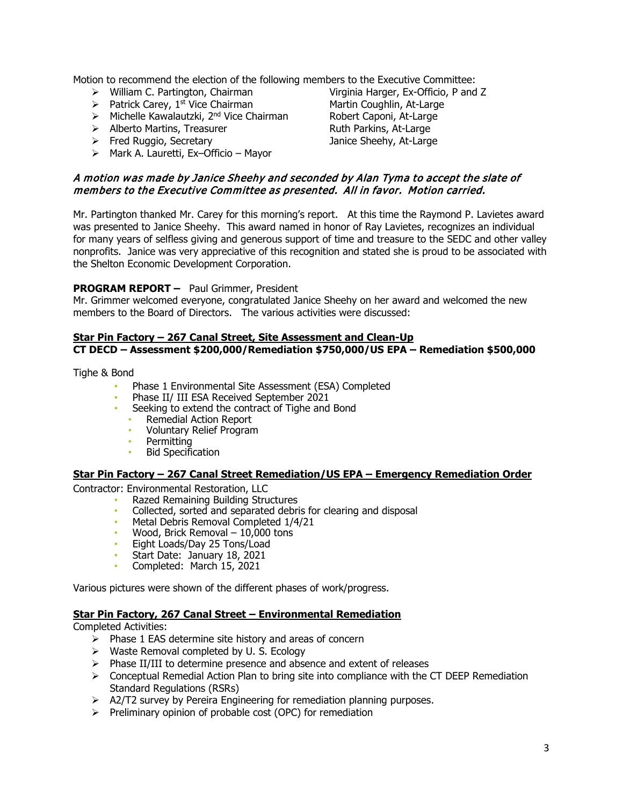Motion to recommend the election of the following members to the Executive Committee:<br>  $\triangleright$  William C. Partington, Chairman<br>
Virginia Harger, Ex-Officio, P and Z

- $\triangleright$  William C. Partington, Chairman
- 
- $\triangleright$  Michelle Kawalautzki, 2<sup>nd</sup> Vice Chairman
- > Alberto Martins, Treasurer Ruth Parkins, At-Large
- Fred Ruggio, Secretary Janice Sheehy, At-Large
- $\triangleright$  Mark A. Lauretti, Ex-Officio Mayor

> Patrick Carey, 1<sup>st</sup> Vice Chairman Martin Coughlin, At-Large<br>> Michelle Kawalautzki, 2<sup>nd</sup> Vice Chairman Robert Caponi, At-Large

# A motion was made by Janice Sheehy and seconded by Alan Tyma to accept the slate of members to the Executive Committee as presented. All in favor. Motion carried.

Mr. Partington thanked Mr. Carey for this morning's report. At this time the Raymond P. Lavietes award was presented to Janice Sheehy. This award named in honor of Ray Lavietes, recognizes an individual for many years of selfless giving and generous support of time and treasure to the SEDC and other valley nonprofits. Janice was very appreciative of this recognition and stated she is proud to be associated with the Shelton Economic Development Corporation.

# **PROGRAM REPORT –** Paul Grimmer, President

Mr. Grimmer welcomed everyone, congratulated Janice Sheehy on her award and welcomed the new members to the Board of Directors. The various activities were discussed:

### **Star Pin Factory – 267 Canal Street, Site Assessment and Clean-Up CT DECD – Assessment \$200,000/Remediation \$750,000/US EPA – Remediation \$500,000**

Tighe & Bond

- Phase 1 Environmental Site Assessment (ESA) Completed
- Phase II/ III ESA Received September 2021
- Seeking to extend the contract of Tighe and Bond
	- Remedial Action Report
	- Voluntary Relief Program
	- **Permitting**
	- Bid Specification

# **Star Pin Factory – 267 Canal Street Remediation/US EPA – Emergency Remediation Order**

Contractor: Environmental Restoration, LLC

- Razed Remaining Building Structures
- Collected, sorted and separated debris for clearing and disposal
- Metal Debris Removal Completed 1/4/21
- Wood, Brick Removal 10,000 tons
- Eight Loads/Day 25 Tons/Load
- Start Date: January 18, 2021
- Completed: March 15, 2021

Various pictures were shown of the different phases of work/progress.

### **Star Pin Factory, 267 Canal Street – Environmental Remediation**

Completed Activities:

- $\triangleright$  Phase 1 EAS determine site history and areas of concern
- $\triangleright$  Waste Removal completed by U. S. Ecology
- $\triangleright$  Phase II/III to determine presence and absence and extent of releases
- $\triangleright$  Conceptual Remedial Action Plan to bring site into compliance with the CT DEEP Remediation Standard Regulations (RSRs)
- $\triangleright$  A2/T2 survey by Pereira Engineering for remediation planning purposes.
- $\triangleright$  Preliminary opinion of probable cost (OPC) for remediation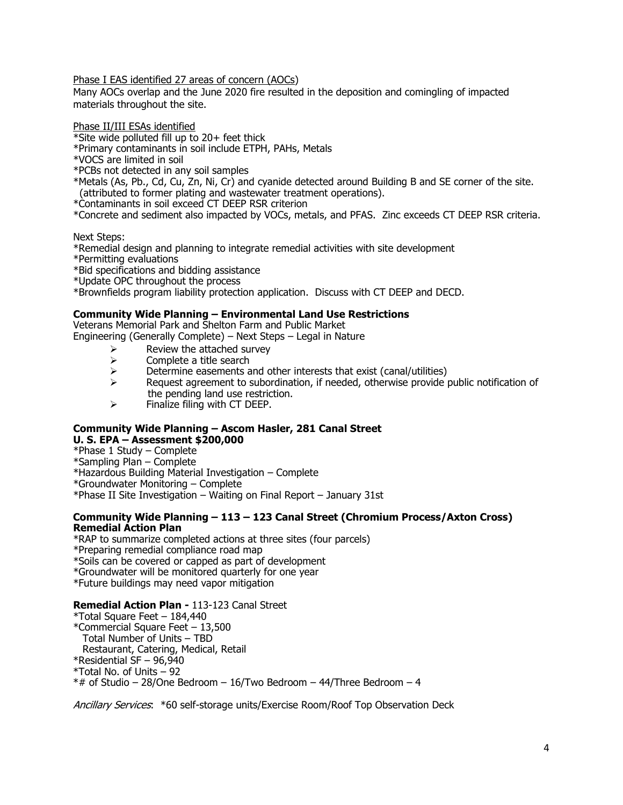Phase I EAS identified 27 areas of concern (AOCs)

Many AOCs overlap and the June 2020 fire resulted in the deposition and comingling of impacted materials throughout the site.

Phase II/III ESAs identified

\*Site wide polluted fill up to 20+ feet thick

\*Primary contaminants in soil include ETPH, PAHs, Metals

\*VOCS are limited in soil

\*PCBs not detected in any soil samples

\*Metals (As, Pb., Cd, Cu, Zn, Ni, Cr) and cyanide detected around Building B and SE corner of the site. (attributed to former plating and wastewater treatment operations).

\*Contaminants in soil exceed CT DEEP RSR criterion

\*Concrete and sediment also impacted by VOCs, metals, and PFAS. Zinc exceeds CT DEEP RSR criteria.

Next Steps:

\*Remedial design and planning to integrate remedial activities with site development

\*Permitting evaluations

\*Bid specifications and bidding assistance

\*Update OPC throughout the process

\*Brownfields program liability protection application. Discuss with CT DEEP and DECD.

#### **Community Wide Planning – Environmental Land Use Restrictions**

Veterans Memorial Park and Shelton Farm and Public Market Engineering (Generally Complete) – Next Steps – Legal in Nature

- $\triangleright$  Review the attached survey<br> $\triangleright$  Complete a title search
- 
- $\geq$  Complete a title search<br> $\geq$  Determine easements a  $\triangleright$  Determine easements and other interests that exist (canal/utilities) <br>
Request agreement to subordination, if needed, otherwise provide
- Request agreement to subordination, if needed, otherwise provide public notification of the pending land use restriction.<br>
Finalize filing with CT DFFP.
- Finalize filing with CT DEEP.

#### **Community Wide Planning – Ascom Hasler, 281 Canal Street U. S. EPA – Assessment \$200,000**

\*Phase 1 Study – Complete

\*Sampling Plan – Complete

\*Hazardous Building Material Investigation – Complete

\*Groundwater Monitoring – Complete

\*Phase II Site Investigation – Waiting on Final Report – January 31st

#### **Community Wide Planning – 113 – 123 Canal Street (Chromium Process/Axton Cross) Remedial Action Plan**

\*RAP to summarize completed actions at three sites (four parcels) \*Preparing remedial compliance road map \*Soils can be covered or capped as part of development \*Groundwater will be monitored quarterly for one year \*Future buildings may need vapor mitigation

### **Remedial Action Plan -** 113-123 Canal Street

\*Total Square Feet – 184,440 \*Commercial Square Feet – 13,500 Total Number of Units – TBD Restaurant, Catering, Medical, Retail \*Residential SF – 96,940 \*Total No. of Units – 92  $*$ # of Studio – 28/One Bedroom – 16/Two Bedroom – 44/Three Bedroom – 4

Ancillary Services: \*60 self-storage units/Exercise Room/Roof Top Observation Deck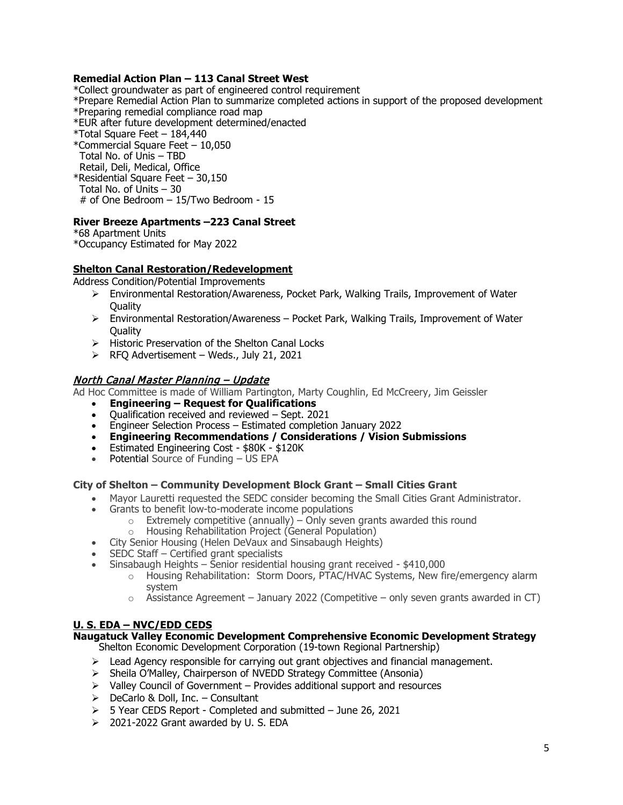### **Remedial Action Plan – 113 Canal Street West**

\*Collect groundwater as part of engineered control requirement

\*Prepare Remedial Action Plan to summarize completed actions in support of the proposed development \*Preparing remedial compliance road map

\*EUR after future development determined/enacted

- \*Total Square Feet 184,440
- \*Commercial Square Feet 10,050 Total No. of Unis – TBD Retail, Deli, Medical, Office \*Residential Square Feet – 30,150 Total No. of Units – 30 # of One Bedroom – 15/Two Bedroom - 15

### **River Breeze Apartments –223 Canal Street**

\*68 Apartment Units \*Occupancy Estimated for May 2022

# **Shelton Canal Restoration/Redevelopment**

Address Condition/Potential Improvements

- Environmental Restoration/Awareness, Pocket Park, Walking Trails, Improvement of Water **Quality**
- $\triangleright$  Environmental Restoration/Awareness Pocket Park, Walking Trails, Improvement of Water Quality
- $\triangleright$  Historic Preservation of the Shelton Canal Locks
- $\triangleright$  RFQ Advertisement Weds., July 21, 2021

# North Canal Master Planning – Update

Ad Hoc Committee is made of William Partington, Marty Coughlin, Ed McCreery, Jim Geissler

- **Engineering Request for Qualifications**
- Qualification received and reviewed Sept. 2021
- Engineer Selection Process Estimated completion January 2022
- **Engineering Recommendations / Considerations / Vision Submissions**
- Estimated Engineering Cost \$80K \$120K
- Potential Source of Funding US EPA

### **City of Shelton – Community Development Block Grant – Small Cities Grant**

- Mayor Lauretti requested the SEDC consider becoming the Small Cities Grant Administrator.
- Grants to benefit low-to-moderate income populations
	- $\circ$  Extremely competitive (annually) Only seven grants awarded this round Housing Rehabilitation Project (General Population)
- Housing Rehabilitation Project (General Population)
- City Senior Housing (Helen DeVaux and Sinsabaugh Heights)
- SEDC Staff Certified grant specialists
- Sinsabaugh Heights Senior residential housing grant received \$410,000
	- $\circ$  Housing Rehabilitation: Storm Doors, PTAC/HVAC Systems, New fire/emergency alarm system
	- $\circ$  Assistance Agreement January 2022 (Competitive only seven grants awarded in CT)

# **U. S. EDA – NVC/EDD CEDS**

#### **Naugatuck Valley Economic Development Comprehensive Economic Development Strategy** Shelton Economic Development Corporation (19-town Regional Partnership)

- $\triangleright$  Lead Agency responsible for carrying out grant objectives and financial management.
- $\triangleright$  Sheila O'Malley, Chairperson of NVEDD Strategy Committee (Ansonia)
- $\triangleright$  Valley Council of Government Provides additional support and resources
- $\triangleright$  DeCarlo & Doll, Inc. Consultant
- $\geq$  5 Year CEDS Report Completed and submitted June 26, 2021
- $\geq$  2021-2022 Grant awarded by U.S. EDA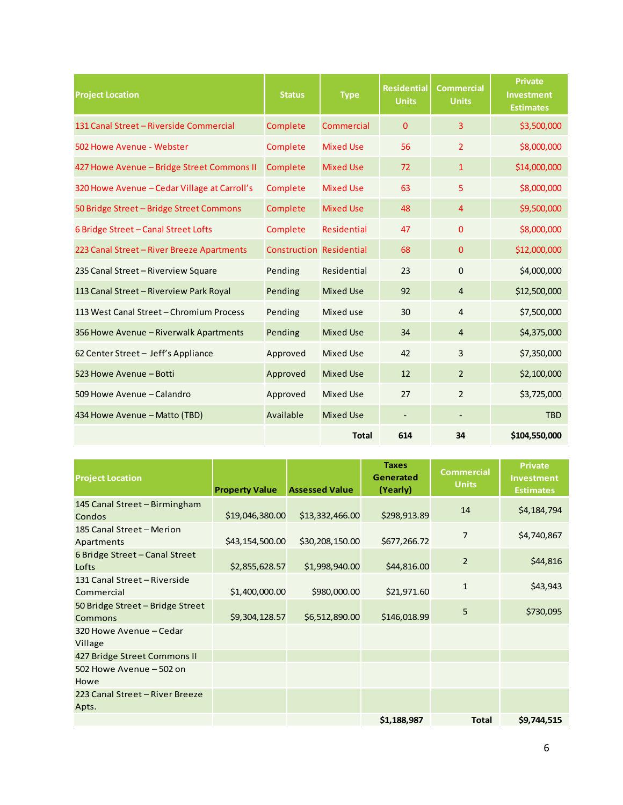| <b>Project Location</b>                      | <b>Status</b>                   | <b>Type</b>        | <b>Residential</b><br><b>Units</b> | <b>Commercial</b><br><b>Units</b> | <b>Private</b><br><b>Investment</b><br><b>Estimates</b> |
|----------------------------------------------|---------------------------------|--------------------|------------------------------------|-----------------------------------|---------------------------------------------------------|
| 131 Canal Street - Riverside Commercial      | Complete                        | Commercial         | $\Omega$                           | $\overline{3}$                    | \$3,500,000                                             |
| 502 Howe Avenue - Webster                    | Complete                        | <b>Mixed Use</b>   | 56                                 | $\overline{2}$                    | \$8,000,000                                             |
| 427 Howe Avenue - Bridge Street Commons II   | Complete                        | <b>Mixed Use</b>   | 72                                 | $\mathbf{1}$                      | \$14,000,000                                            |
| 320 Howe Avenue – Cedar Village at Carroll's | Complete                        | <b>Mixed Use</b>   | 63                                 | 5                                 | \$8,000,000                                             |
| 50 Bridge Street - Bridge Street Commons     | Complete                        | <b>Mixed Use</b>   | 48                                 | $\overline{4}$                    | \$9,500,000                                             |
| 6 Bridge Street - Canal Street Lofts         | Complete                        | <b>Residential</b> | 47                                 | $\mathbf{0}$                      | \$8,000,000                                             |
| 223 Canal Street - River Breeze Apartments   | <b>Construction Residential</b> |                    | 68                                 | $\mathbf{0}$                      | \$12,000,000                                            |
| 235 Canal Street - Riverview Square          | Pending                         | Residential        | 23                                 | $\Omega$                          | \$4,000,000                                             |
| 113 Canal Street - Riverview Park Royal      | Pending                         | <b>Mixed Use</b>   | 92                                 | $\overline{4}$                    | \$12,500,000                                            |
| 113 West Canal Street - Chromium Process     | Pending                         | Mixed use          | 30                                 | $\overline{4}$                    | \$7,500,000                                             |
| 356 Howe Avenue - Riverwalk Apartments       | Pending                         | <b>Mixed Use</b>   | 34                                 | $\overline{4}$                    | \$4,375,000                                             |
| 62 Center Street - Jeff's Appliance          | Approved                        | <b>Mixed Use</b>   | 42                                 | $\overline{3}$                    | \$7,350,000                                             |
| 523 Howe Avenue - Botti                      | Approved                        | <b>Mixed Use</b>   | 12                                 | $\overline{2}$                    | \$2,100,000                                             |
| 509 Howe Avenue - Calandro                   | Approved                        | <b>Mixed Use</b>   | 27                                 | $\overline{2}$                    | \$3,725,000                                             |
| 434 Howe Avenue - Matto (TBD)                | Available                       | <b>Mixed Use</b>   | $\overline{\phantom{a}}$           | ٠                                 | <b>TBD</b>                                              |
|                                              |                                 | <b>Total</b>       | 614                                | 34                                | \$104,550,000                                           |

| <b>Project Location</b>                            | <b>Property Value</b> | <b>Assessed Value</b> | <b>Taxes</b><br>Generated<br>(Yearly) | <b>Commercial</b><br><b>Units</b> | <b>Private</b><br>Investment<br><b>Estimates</b> |
|----------------------------------------------------|-----------------------|-----------------------|---------------------------------------|-----------------------------------|--------------------------------------------------|
| 145 Canal Street - Birmingham<br>Condos            | \$19,046,380.00       | \$13,332,466.00       | \$298,913.89                          | 14                                | \$4,184,794                                      |
| 185 Canal Street - Merion<br>Apartments            | \$43,154,500.00       | \$30,208,150.00       | \$677,266.72                          | 7                                 | \$4,740,867                                      |
| 6 Bridge Street - Canal Street<br>Lofts            | \$2,855,628.57        | \$1,998,940.00        | \$44,816.00                           | $\overline{2}$                    | \$44,816                                         |
| 131 Canal Street - Riverside<br>Commercial         | \$1,400,000.00        | \$980,000.00          | \$21,971.60                           | $\mathbf{1}$                      | \$43,943                                         |
| 50 Bridge Street - Bridge Street<br><b>Commons</b> | \$9,304,128.57        | \$6,512,890.00        | \$146,018.99                          | 5                                 | \$730,095                                        |
| 320 Howe Avenue - Cedar<br>Village                 |                       |                       |                                       |                                   |                                                  |
| 427 Bridge Street Commons II                       |                       |                       |                                       |                                   |                                                  |
| 502 Howe Avenue - 502 on<br>Howe                   |                       |                       |                                       |                                   |                                                  |
| 223 Canal Street - River Breeze<br>Apts.           |                       |                       |                                       |                                   |                                                  |
|                                                    |                       |                       | \$1,188,987                           | <b>Total</b>                      | \$9,744,515                                      |